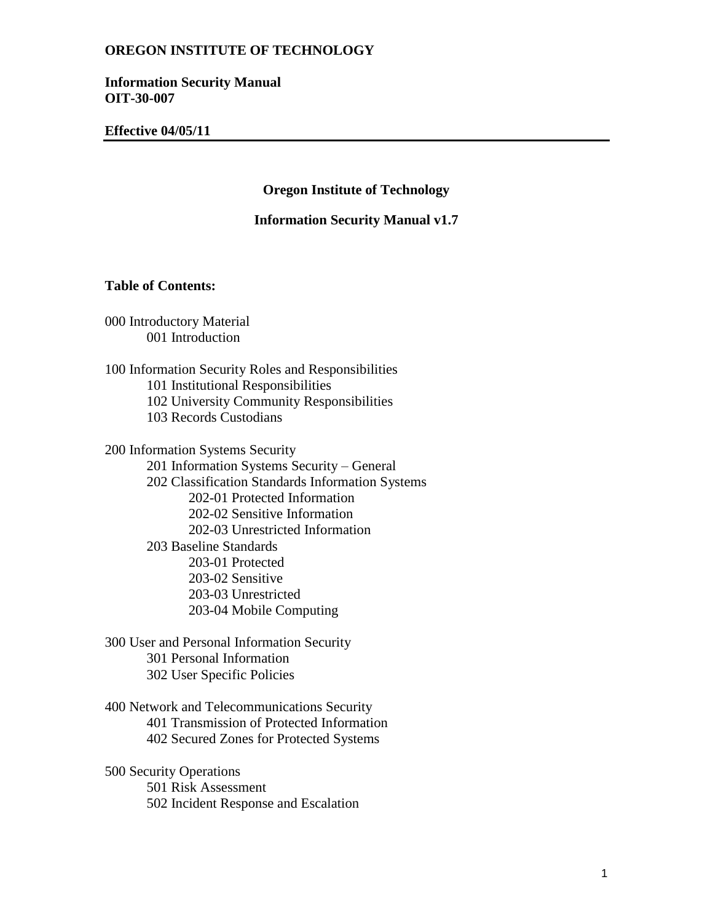**Information Security Manual OIT-30-007**

**Effective 04/05/11**

**Oregon Institute of Technology**

**Information Security Manual v1.7**

### **Table of Contents:**

000 Introductory Material 001 Introduction

100 Information Security Roles and Responsibilities 101 Institutional Responsibilities 102 University Community Responsibilities 103 Records Custodians

200 Information Systems Security 201 Information Systems Security – General 202 Classification Standards Information Systems 202-01 Protected Information 202-02 Sensitive Information 202-03 Unrestricted Information 203 Baseline Standards 203-01 Protected 203-02 Sensitive 203-03 Unrestricted 203-04 Mobile Computing

300 User and Personal Information Security 301 Personal Information 302 User Specific Policies

400 Network and Telecommunications Security 401 Transmission of Protected Information 402 Secured Zones for Protected Systems

500 Security Operations 501 Risk Assessment 502 Incident Response and Escalation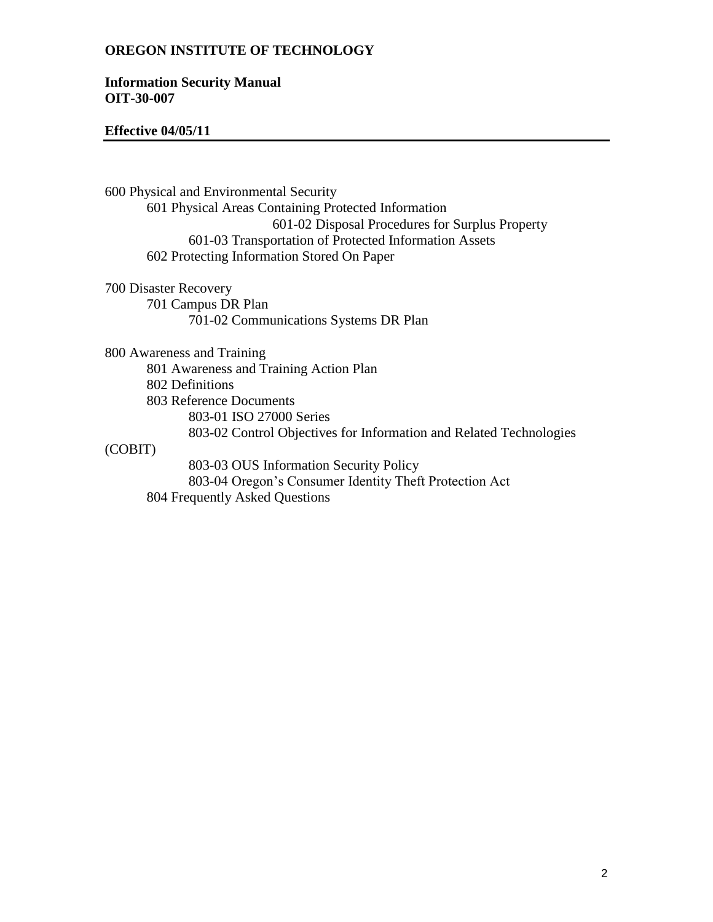### **Information Security Manual OIT-30-007**

### **Effective 04/05/11**

600 Physical and Environmental Security 601 Physical Areas Containing Protected Information 601-02 Disposal Procedures for Surplus Property 601-03 Transportation of Protected Information Assets 602 Protecting Information Stored On Paper

700 Disaster Recovery 701 Campus DR Plan 701-02 Communications Systems DR Plan

800 Awareness and Training

801 Awareness and Training Action Plan

802 Definitions

803 Reference Documents

803-01 ISO 27000 Series

803-02 Control Objectives for Information and Related Technologies

(COBIT)

803-03 OUS Information Security Policy 803-04 Oregon's Consumer Identity Theft Protection Act 804 Frequently Asked Questions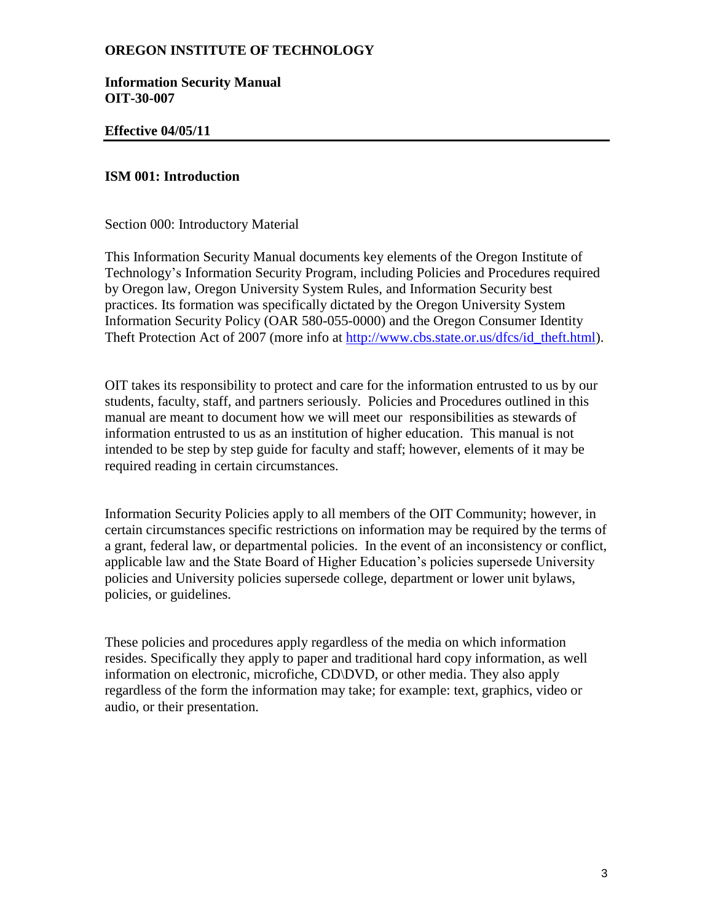**Information Security Manual OIT-30-007**

### **Effective 04/05/11**

### **ISM 001: Introduction**

Section 000: Introductory Material

This Information Security Manual documents key elements of the Oregon Institute of Technology's Information Security Program, including Policies and Procedures required by Oregon law, Oregon University System Rules, and Information Security best practices. Its formation was specifically dictated by the Oregon University System Information Security Policy (OAR 580-055-0000) and the Oregon Consumer Identity Theft Protection Act of 2007 (more info at [http://www.cbs.state.or.us/dfcs/id\\_theft.html\)](http://www.cbs.state.or.us/dfcs/id_theft.html).

OIT takes its responsibility to protect and care for the information entrusted to us by our students, faculty, staff, and partners seriously. Policies and Procedures outlined in this manual are meant to document how we will meet our responsibilities as stewards of information entrusted to us as an institution of higher education. This manual is not intended to be step by step guide for faculty and staff; however, elements of it may be required reading in certain circumstances.

Information Security Policies apply to all members of the OIT Community; however, in certain circumstances specific restrictions on information may be required by the terms of a grant, federal law, or departmental policies. In the event of an inconsistency or conflict, applicable law and the State Board of Higher Education's policies supersede University policies and University policies supersede college, department or lower unit bylaws, policies, or guidelines.

These policies and procedures apply regardless of the media on which information resides. Specifically they apply to paper and traditional hard copy information, as well information on electronic, microfiche, CD\DVD, or other media. They also apply regardless of the form the information may take; for example: text, graphics, video or audio, or their presentation.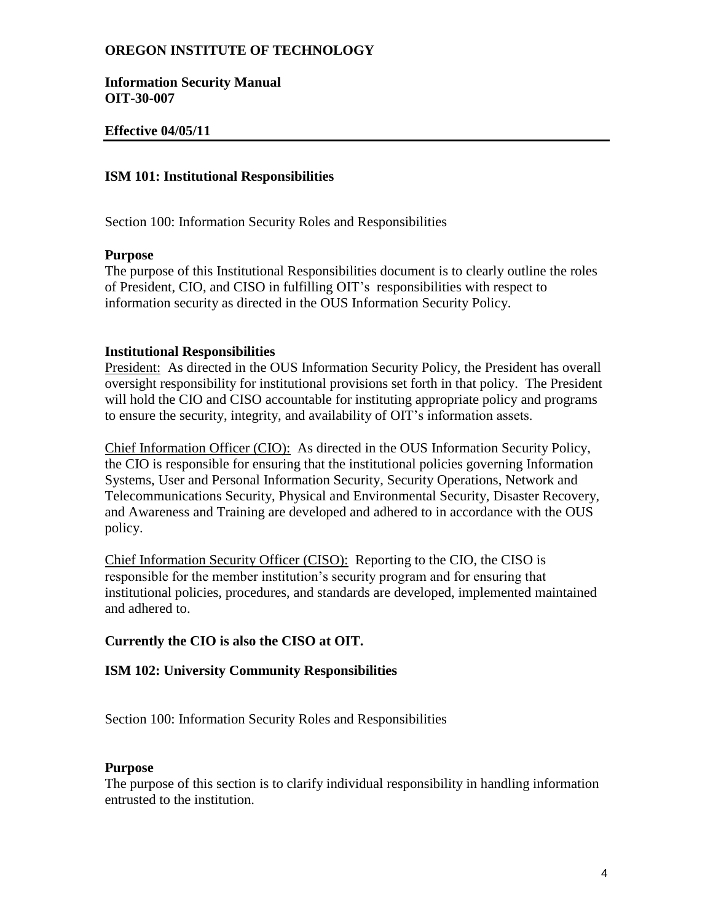**Information Security Manual OIT-30-007**

# **Effective 04/05/11**

### **ISM 101: Institutional Responsibilities**

Section 100: Information Security Roles and Responsibilities

#### **Purpose**

The purpose of this Institutional Responsibilities document is to clearly outline the roles of President, CIO, and CISO in fulfilling OIT's responsibilities with respect to information security as directed in the OUS Information Security Policy.

### **Institutional Responsibilities**

President: As directed in the OUS Information Security Policy, the President has overall oversight responsibility for institutional provisions set forth in that policy. The President will hold the CIO and CISO accountable for instituting appropriate policy and programs to ensure the security, integrity, and availability of OIT's information assets.

Chief Information Officer (CIO): As directed in the OUS Information Security Policy, the CIO is responsible for ensuring that the institutional policies governing Information Systems, User and Personal Information Security, Security Operations, Network and Telecommunications Security, Physical and Environmental Security, Disaster Recovery, and Awareness and Training are developed and adhered to in accordance with the OUS policy.

Chief Information Security Officer (CISO): Reporting to the CIO, the CISO is responsible for the member institution's security program and for ensuring that institutional policies, procedures, and standards are developed, implemented maintained and adhered to.

# **Currently the CIO is also the CISO at OIT.**

# **ISM 102: University Community Responsibilities**

Section 100: Information Security Roles and Responsibilities

#### **Purpose**

The purpose of this section is to clarify individual responsibility in handling information entrusted to the institution.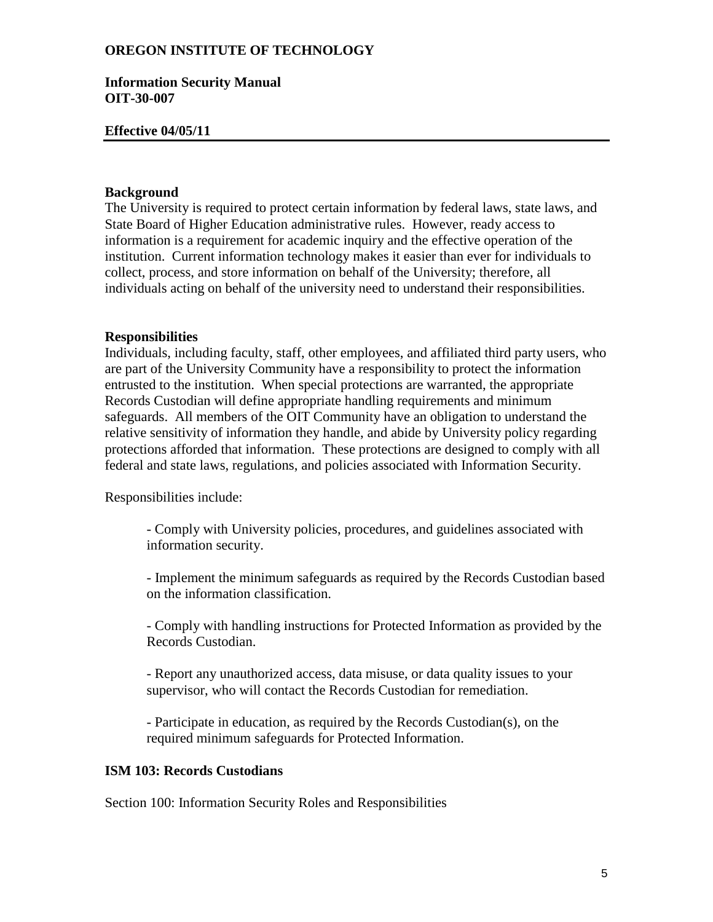#### **Information Security Manual OIT-30-007**

### **Effective 04/05/11**

# **Background**

The University is required to protect certain information by federal laws, state laws, and State Board of Higher Education administrative rules. However, ready access to information is a requirement for academic inquiry and the effective operation of the institution. Current information technology makes it easier than ever for individuals to collect, process, and store information on behalf of the University; therefore, all individuals acting on behalf of the university need to understand their responsibilities.

#### **Responsibilities**

Individuals, including faculty, staff, other employees, and affiliated third party users, who are part of the University Community have a responsibility to protect the information entrusted to the institution. When special protections are warranted, the appropriate Records Custodian will define appropriate handling requirements and minimum safeguards. All members of the OIT Community have an obligation to understand the relative sensitivity of information they handle, and abide by University policy regarding protections afforded that information. These protections are designed to comply with all federal and state laws, regulations, and policies associated with Information Security.

Responsibilities include:

- Comply with University policies, procedures, and guidelines associated with information security.

- Implement the minimum safeguards as required by the Records Custodian based on the information classification.

- Comply with handling instructions for Protected Information as provided by the Records Custodian.

- Report any unauthorized access, data misuse, or data quality issues to your supervisor, who will contact the Records Custodian for remediation.

- Participate in education, as required by the Records Custodian(s), on the required minimum safeguards for Protected Information.

# **ISM 103: Records Custodians**

Section 100: Information Security Roles and Responsibilities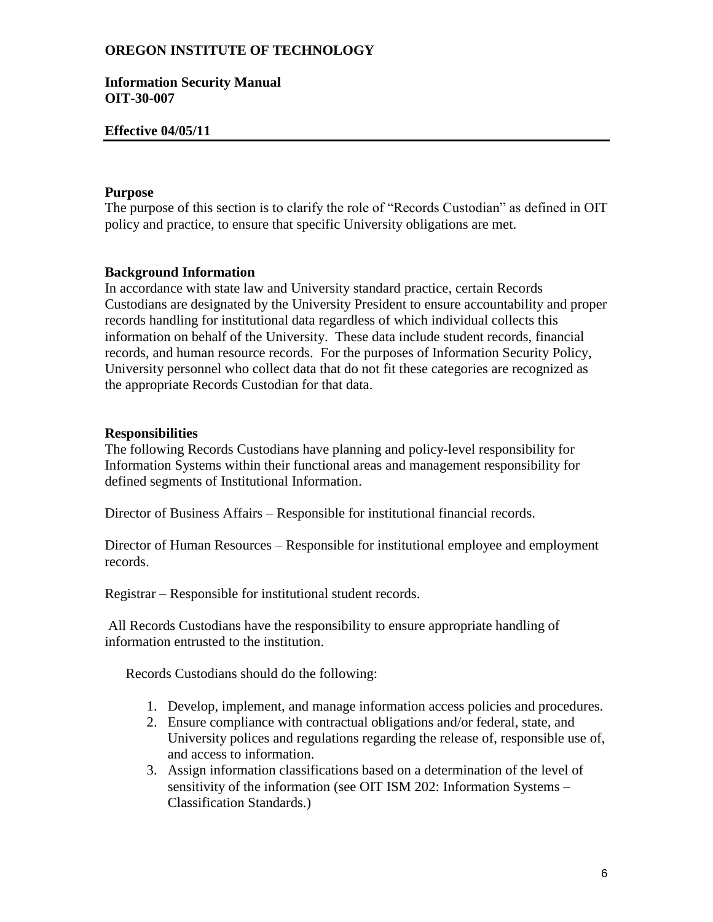### **Information Security Manual OIT-30-007**

### **Effective 04/05/11**

### **Purpose**

The purpose of this section is to clarify the role of "Records Custodian" as defined in OIT policy and practice, to ensure that specific University obligations are met.

### **Background Information**

In accordance with state law and University standard practice, certain Records Custodians are designated by the University President to ensure accountability and proper records handling for institutional data regardless of which individual collects this information on behalf of the University. These data include student records, financial records, and human resource records. For the purposes of Information Security Policy, University personnel who collect data that do not fit these categories are recognized as the appropriate Records Custodian for that data.

### **Responsibilities**

The following Records Custodians have planning and policy-level responsibility for Information Systems within their functional areas and management responsibility for defined segments of Institutional Information.

Director of Business Affairs – Responsible for institutional financial records.

Director of Human Resources – Responsible for institutional employee and employment records.

Registrar – Responsible for institutional student records.

All Records Custodians have the responsibility to ensure appropriate handling of information entrusted to the institution.

Records Custodians should do the following:

- 1. Develop, implement, and manage information access policies and procedures.
- 2. Ensure compliance with contractual obligations and/or federal, state, and University polices and regulations regarding the release of, responsible use of, and access to information.
- 3. Assign information classifications based on a determination of the level of sensitivity of the information (see OIT ISM 202: Information Systems – Classification Standards.)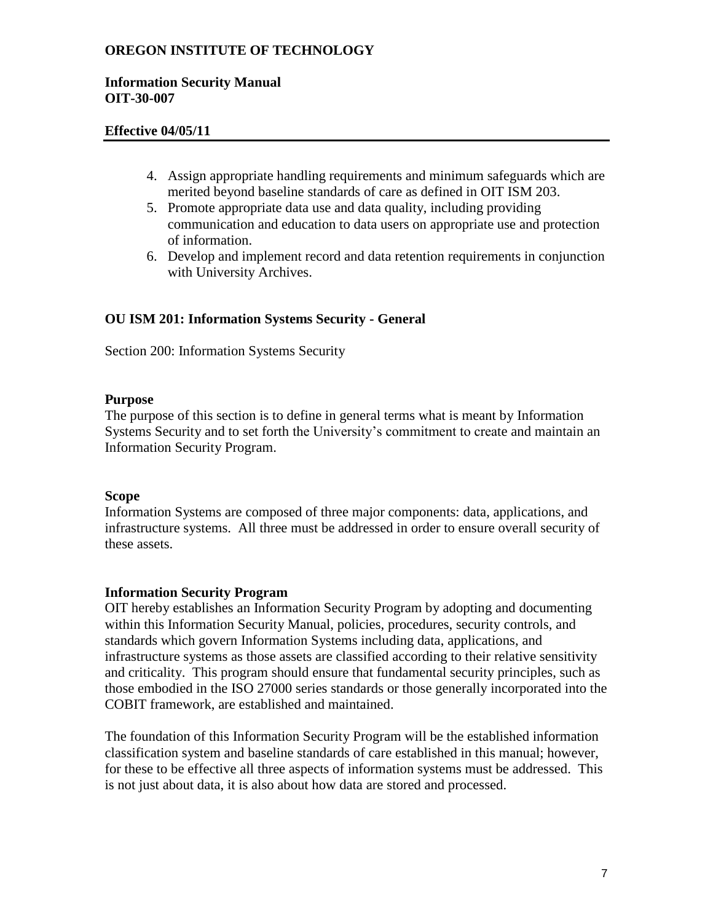## **Information Security Manual OIT-30-007**

# **Effective 04/05/11**

- 4. Assign appropriate handling requirements and minimum safeguards which are merited beyond baseline standards of care as defined in OIT ISM 203.
- 5. Promote appropriate data use and data quality, including providing communication and education to data users on appropriate use and protection of information.
- 6. Develop and implement record and data retention requirements in conjunction with University Archives.

# **OU ISM 201: Information Systems Security - General**

Section 200: Information Systems Security

# **Purpose**

The purpose of this section is to define in general terms what is meant by Information Systems Security and to set forth the University's commitment to create and maintain an Information Security Program.

# **Scope**

Information Systems are composed of three major components: data, applications, and infrastructure systems. All three must be addressed in order to ensure overall security of these assets.

# **Information Security Program**

OIT hereby establishes an Information Security Program by adopting and documenting within this Information Security Manual, policies, procedures, security controls, and standards which govern Information Systems including data, applications, and infrastructure systems as those assets are classified according to their relative sensitivity and criticality. This program should ensure that fundamental security principles, such as those embodied in the ISO 27000 series standards or those generally incorporated into the COBIT framework, are established and maintained.

The foundation of this Information Security Program will be the established information classification system and baseline standards of care established in this manual; however, for these to be effective all three aspects of information systems must be addressed. This is not just about data, it is also about how data are stored and processed.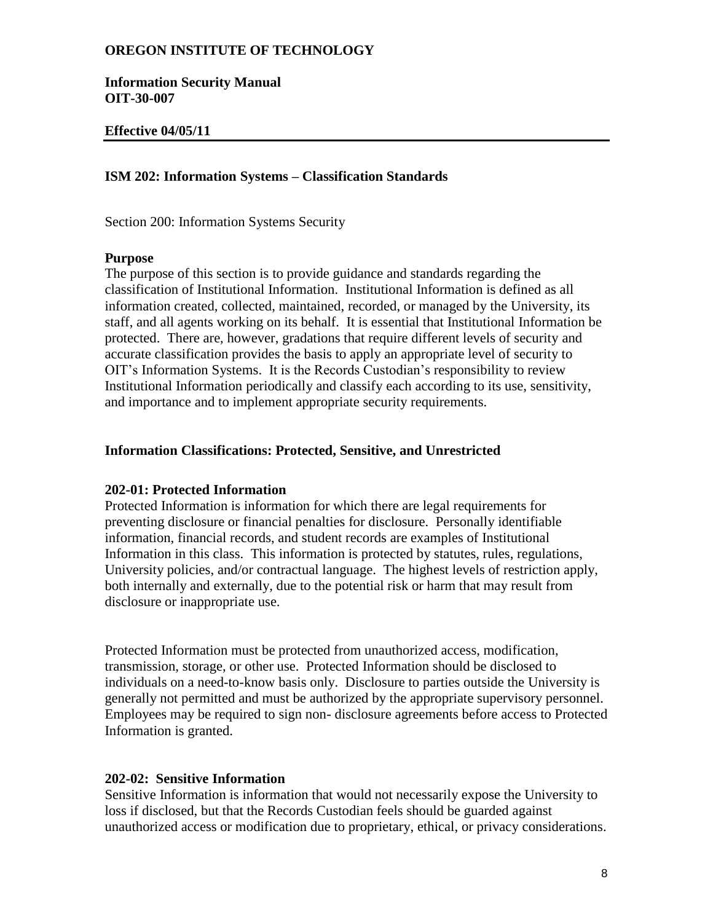**Information Security Manual OIT-30-007**

### **Effective 04/05/11**

## **ISM 202: Information Systems – Classification Standards**

Section 200: Information Systems Security

## **Purpose**

The purpose of this section is to provide guidance and standards regarding the classification of Institutional Information. Institutional Information is defined as all information created, collected, maintained, recorded, or managed by the University, its staff, and all agents working on its behalf. It is essential that Institutional Information be protected. There are, however, gradations that require different levels of security and accurate classification provides the basis to apply an appropriate level of security to OIT's Information Systems. It is the Records Custodian's responsibility to review Institutional Information periodically and classify each according to its use, sensitivity, and importance and to implement appropriate security requirements.

#### **Information Classifications: Protected, Sensitive, and Unrestricted**

#### **202-01: Protected Information**

Protected Information is information for which there are legal requirements for preventing disclosure or financial penalties for disclosure. Personally identifiable information, financial records, and student records are examples of Institutional Information in this class. This information is protected by statutes, rules, regulations, University policies, and/or contractual language. The highest levels of restriction apply, both internally and externally, due to the potential risk or harm that may result from disclosure or inappropriate use.

Protected Information must be protected from unauthorized access, modification, transmission, storage, or other use. Protected Information should be disclosed to individuals on a need-to-know basis only. Disclosure to parties outside the University is generally not permitted and must be authorized by the appropriate supervisory personnel. Employees may be required to sign non- disclosure agreements before access to Protected Information is granted.

#### **202-02: Sensitive Information**

Sensitive Information is information that would not necessarily expose the University to loss if disclosed, but that the Records Custodian feels should be guarded against unauthorized access or modification due to proprietary, ethical, or privacy considerations.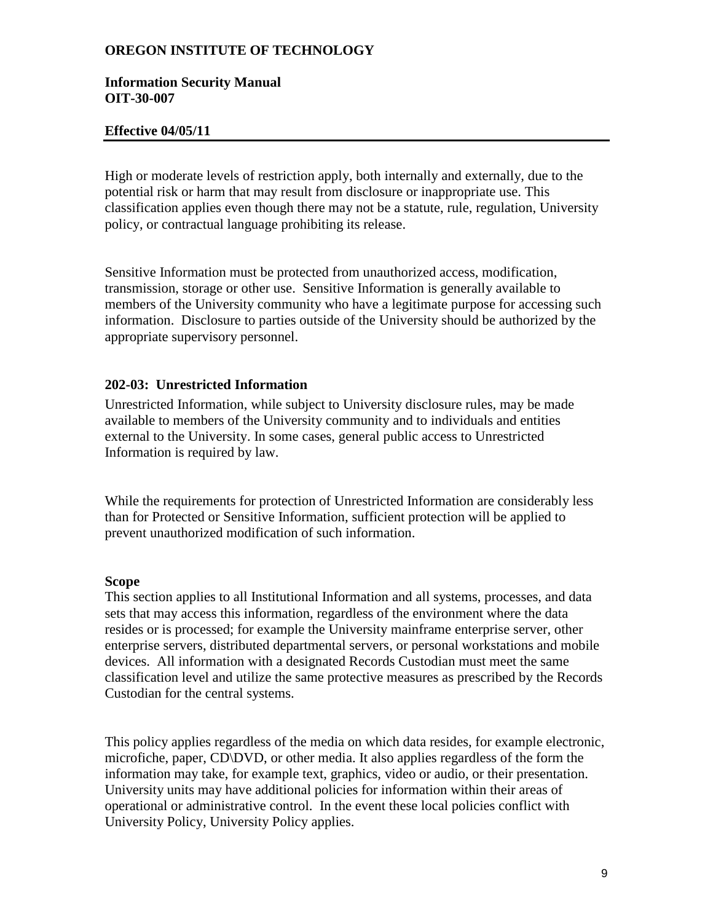### **Information Security Manual OIT-30-007**

### **Effective 04/05/11**

High or moderate levels of restriction apply, both internally and externally, due to the potential risk or harm that may result from disclosure or inappropriate use. This classification applies even though there may not be a statute, rule, regulation, University policy, or contractual language prohibiting its release.

Sensitive Information must be protected from unauthorized access, modification, transmission, storage or other use. Sensitive Information is generally available to members of the University community who have a legitimate purpose for accessing such information. Disclosure to parties outside of the University should be authorized by the appropriate supervisory personnel.

### **202-03: Unrestricted Information**

Unrestricted Information, while subject to University disclosure rules, may be made available to members of the University community and to individuals and entities external to the University. In some cases, general public access to Unrestricted Information is required by law.

While the requirements for protection of Unrestricted Information are considerably less than for Protected or Sensitive Information, sufficient protection will be applied to prevent unauthorized modification of such information.

#### **Scope**

This section applies to all Institutional Information and all systems, processes, and data sets that may access this information, regardless of the environment where the data resides or is processed; for example the University mainframe enterprise server, other enterprise servers, distributed departmental servers, or personal workstations and mobile devices. All information with a designated Records Custodian must meet the same classification level and utilize the same protective measures as prescribed by the Records Custodian for the central systems.

This policy applies regardless of the media on which data resides, for example electronic, microfiche, paper, CD\DVD, or other media. It also applies regardless of the form the information may take, for example text, graphics, video or audio, or their presentation. University units may have additional policies for information within their areas of operational or administrative control. In the event these local policies conflict with University Policy, University Policy applies.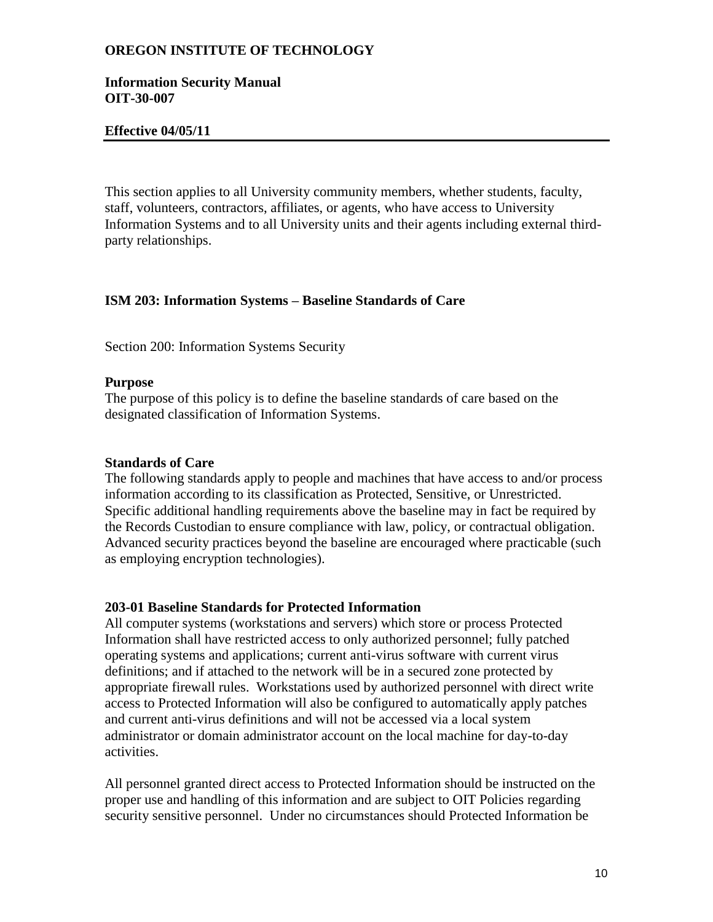### **Information Security Manual OIT-30-007**

### **Effective 04/05/11**

This section applies to all University community members, whether students, faculty, staff, volunteers, contractors, affiliates, or agents, who have access to University Information Systems and to all University units and their agents including external thirdparty relationships.

### **ISM 203: Information Systems – Baseline Standards of Care**

Section 200: Information Systems Security

#### **Purpose**

The purpose of this policy is to define the baseline standards of care based on the designated classification of Information Systems.

#### **Standards of Care**

The following standards apply to people and machines that have access to and/or process information according to its classification as Protected, Sensitive, or Unrestricted. Specific additional handling requirements above the baseline may in fact be required by the Records Custodian to ensure compliance with law, policy, or contractual obligation. Advanced security practices beyond the baseline are encouraged where practicable (such as employing encryption technologies).

#### **203-01 Baseline Standards for Protected Information**

All computer systems (workstations and servers) which store or process Protected Information shall have restricted access to only authorized personnel; fully patched operating systems and applications; current anti-virus software with current virus definitions; and if attached to the network will be in a secured zone protected by appropriate firewall rules. Workstations used by authorized personnel with direct write access to Protected Information will also be configured to automatically apply patches and current anti-virus definitions and will not be accessed via a local system administrator or domain administrator account on the local machine for day-to-day activities.

All personnel granted direct access to Protected Information should be instructed on the proper use and handling of this information and are subject to OIT Policies regarding security sensitive personnel. Under no circumstances should Protected Information be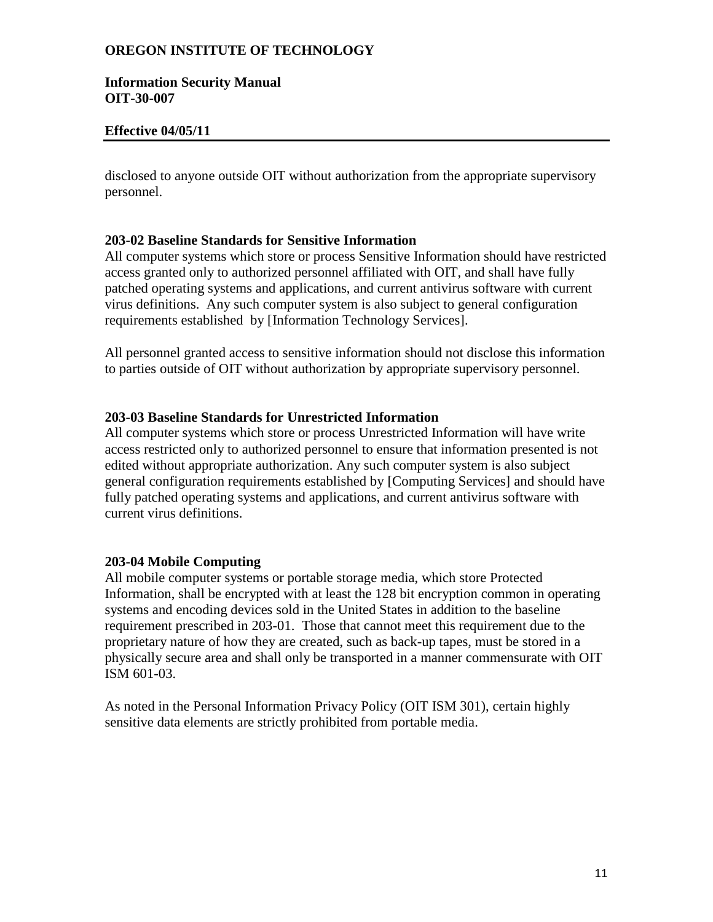### **Information Security Manual OIT-30-007**

## **Effective 04/05/11**

disclosed to anyone outside OIT without authorization from the appropriate supervisory personnel.

### **203-02 Baseline Standards for Sensitive Information**

All computer systems which store or process Sensitive Information should have restricted access granted only to authorized personnel affiliated with OIT, and shall have fully patched operating systems and applications, and current antivirus software with current virus definitions. Any such computer system is also subject to general configuration requirements established by [Information Technology Services].

All personnel granted access to sensitive information should not disclose this information to parties outside of OIT without authorization by appropriate supervisory personnel.

### **203-03 Baseline Standards for Unrestricted Information**

All computer systems which store or process Unrestricted Information will have write access restricted only to authorized personnel to ensure that information presented is not edited without appropriate authorization. Any such computer system is also subject general configuration requirements established by [Computing Services] and should have fully patched operating systems and applications, and current antivirus software with current virus definitions.

#### **203-04 Mobile Computing**

All mobile computer systems or portable storage media, which store Protected Information, shall be encrypted with at least the 128 bit encryption common in operating systems and encoding devices sold in the United States in addition to the baseline requirement prescribed in 203-01. Those that cannot meet this requirement due to the proprietary nature of how they are created, such as back-up tapes, must be stored in a physically secure area and shall only be transported in a manner commensurate with OIT ISM 601-03.

As noted in the Personal Information Privacy Policy (OIT ISM 301), certain highly sensitive data elements are strictly prohibited from portable media.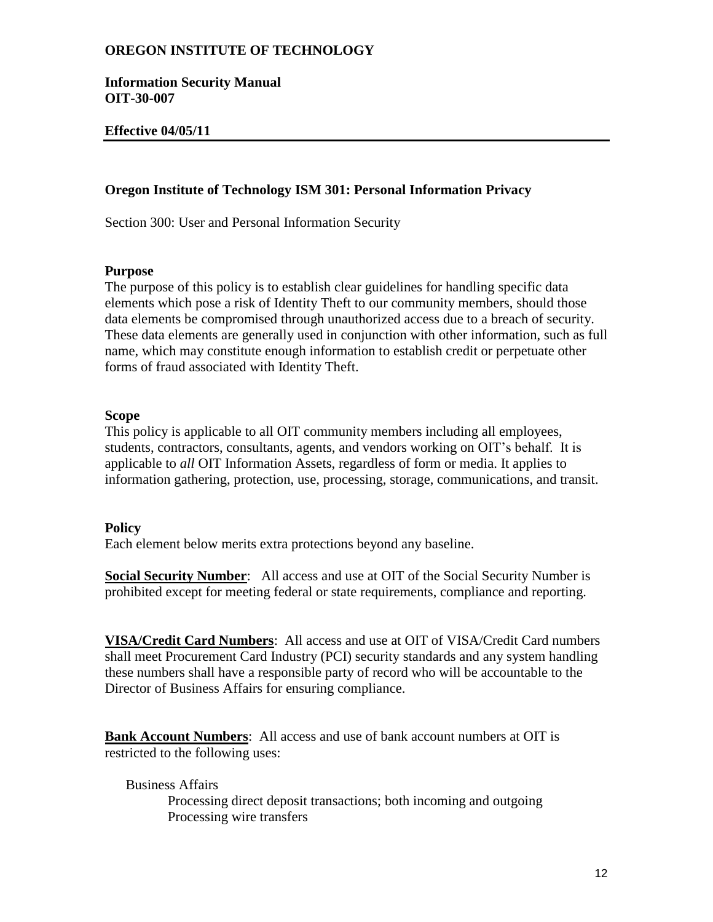**Information Security Manual OIT-30-007**

# **Effective 04/05/11**

## **Oregon Institute of Technology ISM 301: Personal Information Privacy**

Section 300: User and Personal Information Security

#### **Purpose**

The purpose of this policy is to establish clear guidelines for handling specific data elements which pose a risk of Identity Theft to our community members, should those data elements be compromised through unauthorized access due to a breach of security. These data elements are generally used in conjunction with other information, such as full name, which may constitute enough information to establish credit or perpetuate other forms of fraud associated with Identity Theft.

### **Scope**

This policy is applicable to all OIT community members including all employees, students, contractors, consultants, agents, and vendors working on OIT's behalf. It is applicable to *all* OIT Information Assets, regardless of form or media. It applies to information gathering, protection, use, processing, storage, communications, and transit.

#### **Policy**

Each element below merits extra protections beyond any baseline.

**Social Security Number:** All access and use at OIT of the Social Security Number is prohibited except for meeting federal or state requirements, compliance and reporting.

**VISA/Credit Card Numbers**: All access and use at OIT of VISA/Credit Card numbers shall meet Procurement Card Industry (PCI) security standards and any system handling these numbers shall have a responsible party of record who will be accountable to the Director of Business Affairs for ensuring compliance.

**Bank Account Numbers**: All access and use of bank account numbers at OIT is restricted to the following uses:

# Business Affairs

Processing direct deposit transactions; both incoming and outgoing Processing wire transfers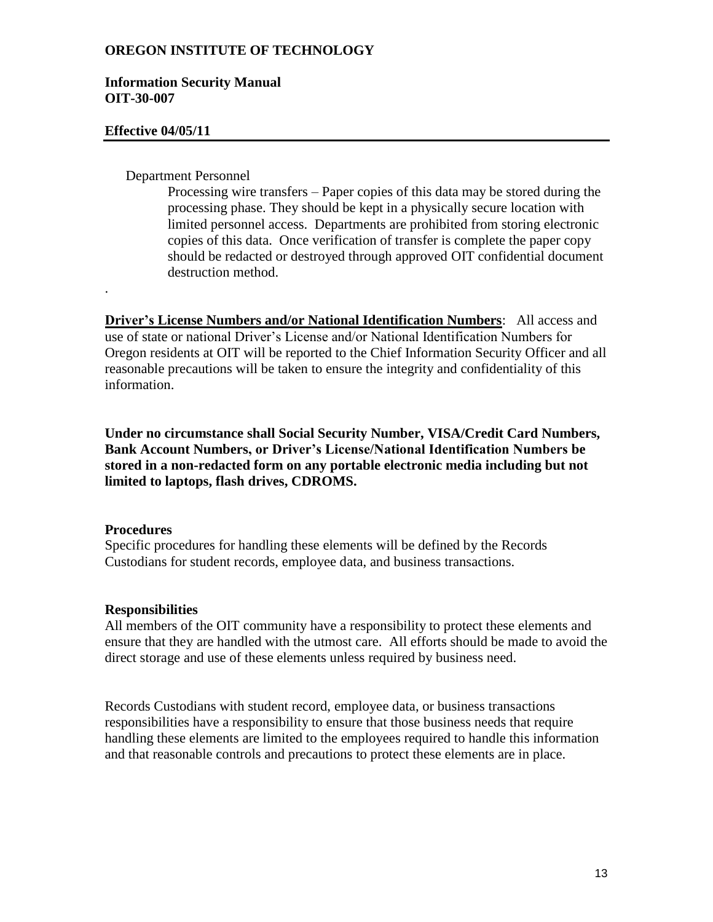### **Information Security Manual OIT-30-007**

### **Effective 04/05/11**

### Department Personnel

Processing wire transfers – Paper copies of this data may be stored during the processing phase. They should be kept in a physically secure location with limited personnel access. Departments are prohibited from storing electronic copies of this data. Once verification of transfer is complete the paper copy should be redacted or destroyed through approved OIT confidential document destruction method.

**Driver's License Numbers and/or National Identification Numbers**: All access and use of state or national Driver's License and/or National Identification Numbers for Oregon residents at OIT will be reported to the Chief Information Security Officer and all reasonable precautions will be taken to ensure the integrity and confidentiality of this information.

**Under no circumstance shall Social Security Number, VISA/Credit Card Numbers, Bank Account Numbers, or Driver's License/National Identification Numbers be stored in a non-redacted form on any portable electronic media including but not limited to laptops, flash drives, CDROMS.**

#### **Procedures**

.

Specific procedures for handling these elements will be defined by the Records Custodians for student records, employee data, and business transactions.

# **Responsibilities**

All members of the OIT community have a responsibility to protect these elements and ensure that they are handled with the utmost care. All efforts should be made to avoid the direct storage and use of these elements unless required by business need.

Records Custodians with student record, employee data, or business transactions responsibilities have a responsibility to ensure that those business needs that require handling these elements are limited to the employees required to handle this information and that reasonable controls and precautions to protect these elements are in place.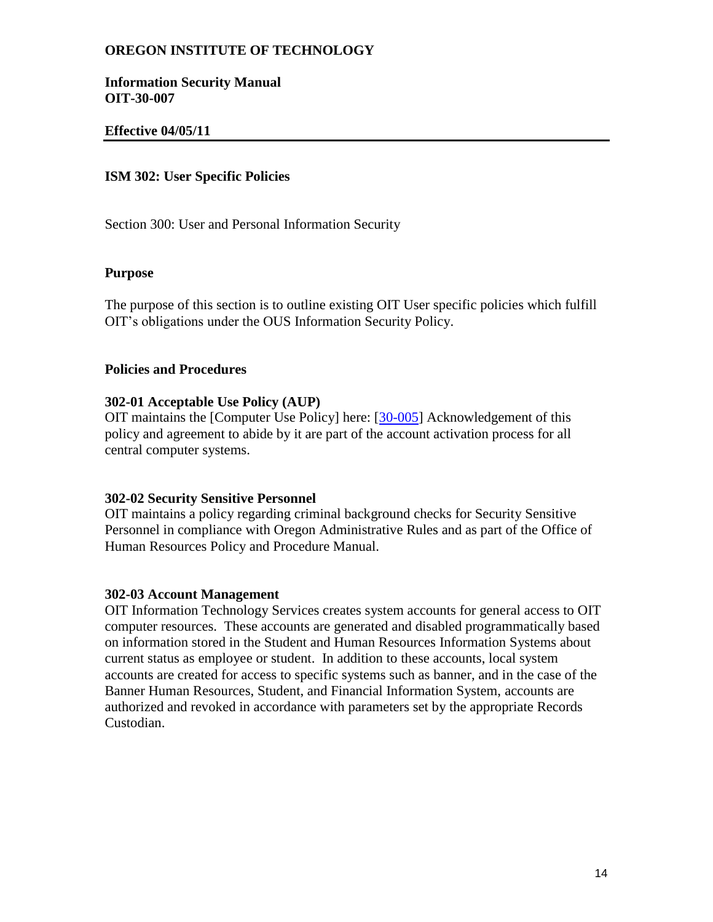### **Information Security Manual OIT-30-007**

## **Effective 04/05/11**

## **ISM 302: User Specific Policies**

Section 300: User and Personal Information Security

#### **Purpose**

The purpose of this section is to outline existing OIT User specific policies which fulfill OIT's obligations under the OUS Information Security Policy.

#### **Policies and Procedures**

#### **302-01 Acceptable Use Policy (AUP)**

OIT maintains the [Computer Use Policy] here: [\[30-005\]](http://www.oit.edu/Libraries/HR_Staff_Policies/Computing_Facilities_Use_-_OIT_30-005.pdf) Acknowledgement of this policy and agreement to abide by it are part of the account activation process for all central computer systems.

#### **302-02 Security Sensitive Personnel**

OIT maintains a policy regarding criminal background checks for Security Sensitive Personnel in compliance with Oregon Administrative Rules and as part of the Office of Human Resources Policy and Procedure Manual.

# **302-03 Account Management**

OIT Information Technology Services creates system accounts for general access to OIT computer resources. These accounts are generated and disabled programmatically based on information stored in the Student and Human Resources Information Systems about current status as employee or student. In addition to these accounts, local system accounts are created for access to specific systems such as banner, and in the case of the Banner Human Resources, Student, and Financial Information System, accounts are authorized and revoked in accordance with parameters set by the appropriate Records Custodian.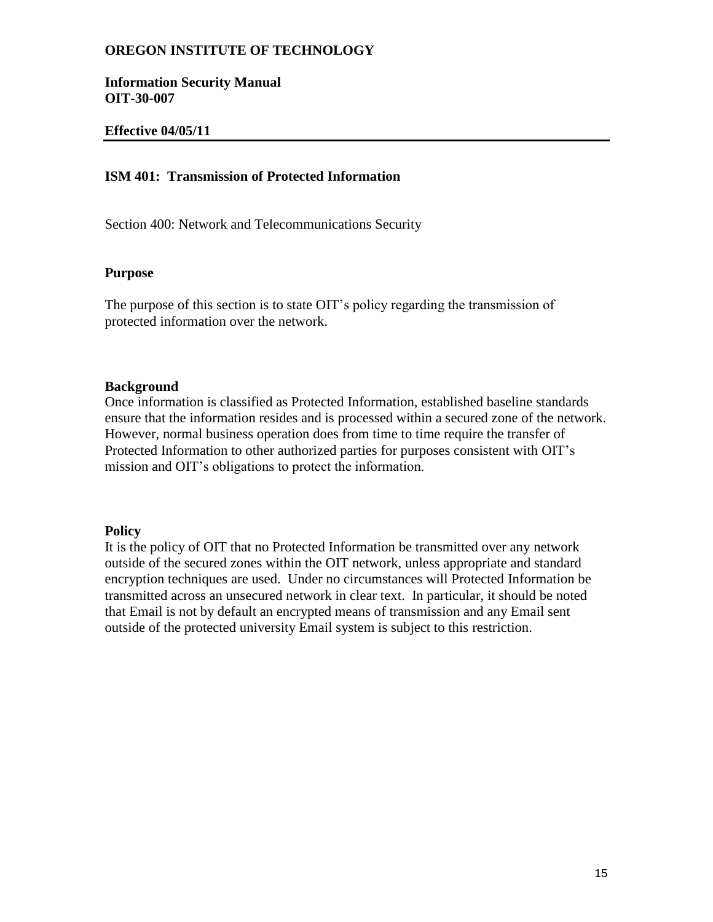**Information Security Manual OIT-30-007**

### **Effective 04/05/11**

# **ISM 401: Transmission of Protected Information**

Section 400: Network and Telecommunications Security

#### **Purpose**

The purpose of this section is to state OIT's policy regarding the transmission of protected information over the network.

#### **Background**

Once information is classified as Protected Information, established baseline standards ensure that the information resides and is processed within a secured zone of the network. However, normal business operation does from time to time require the transfer of Protected Information to other authorized parties for purposes consistent with OIT's mission and OIT's obligations to protect the information.

#### **Policy**

It is the policy of OIT that no Protected Information be transmitted over any network outside of the secured zones within the OIT network, unless appropriate and standard encryption techniques are used. Under no circumstances will Protected Information be transmitted across an unsecured network in clear text. In particular, it should be noted that Email is not by default an encrypted means of transmission and any Email sent outside of the protected university Email system is subject to this restriction.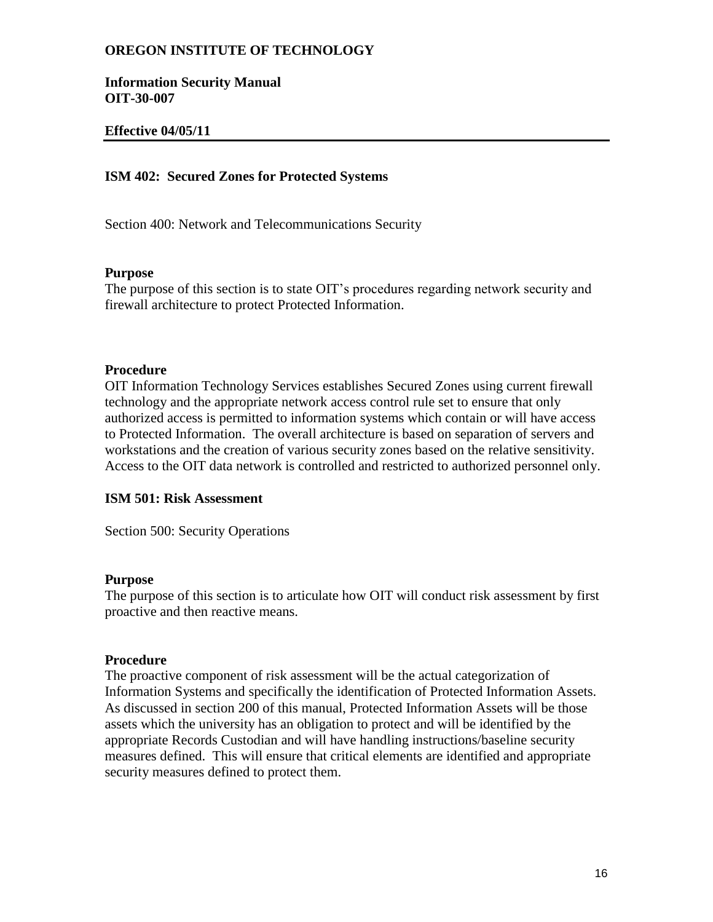**Information Security Manual OIT-30-007**

## **Effective 04/05/11**

## **ISM 402: Secured Zones for Protected Systems**

Section 400: Network and Telecommunications Security

#### **Purpose**

The purpose of this section is to state OIT's procedures regarding network security and firewall architecture to protect Protected Information.

#### **Procedure**

OIT Information Technology Services establishes Secured Zones using current firewall technology and the appropriate network access control rule set to ensure that only authorized access is permitted to information systems which contain or will have access to Protected Information. The overall architecture is based on separation of servers and workstations and the creation of various security zones based on the relative sensitivity. Access to the OIT data network is controlled and restricted to authorized personnel only.

### **ISM 501: Risk Assessment**

Section 500: Security Operations

#### **Purpose**

The purpose of this section is to articulate how OIT will conduct risk assessment by first proactive and then reactive means.

#### **Procedure**

The proactive component of risk assessment will be the actual categorization of Information Systems and specifically the identification of Protected Information Assets. As discussed in section 200 of this manual, Protected Information Assets will be those assets which the university has an obligation to protect and will be identified by the appropriate Records Custodian and will have handling instructions/baseline security measures defined. This will ensure that critical elements are identified and appropriate security measures defined to protect them.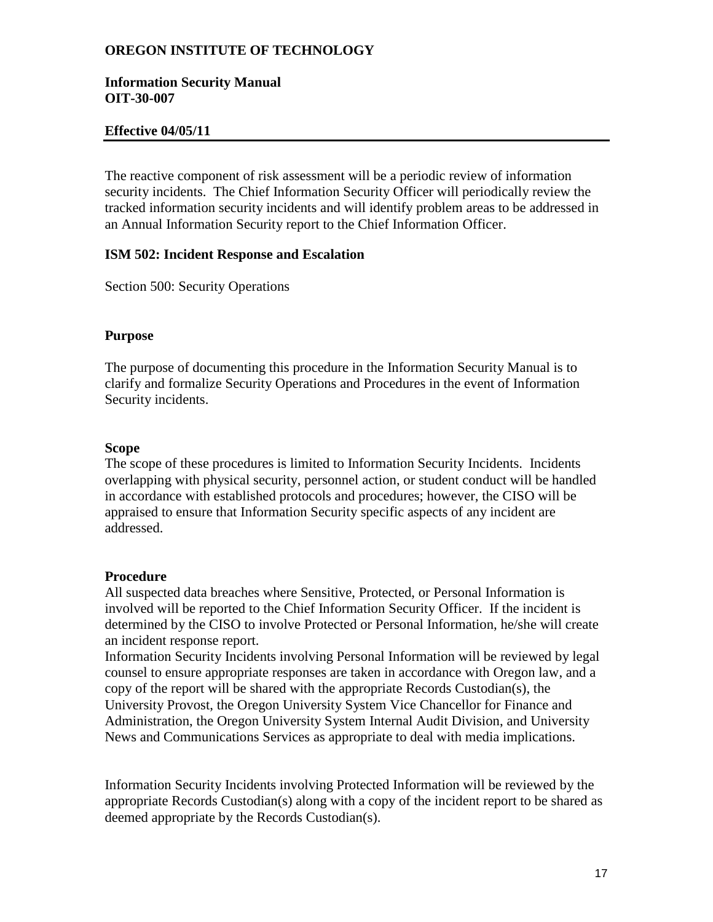## **Information Security Manual OIT-30-007**

# **Effective 04/05/11**

The reactive component of risk assessment will be a periodic review of information security incidents. The Chief Information Security Officer will periodically review the tracked information security incidents and will identify problem areas to be addressed in an Annual Information Security report to the Chief Information Officer.

# **ISM 502: Incident Response and Escalation**

Section 500: Security Operations

# **Purpose**

The purpose of documenting this procedure in the Information Security Manual is to clarify and formalize Security Operations and Procedures in the event of Information Security incidents.

# **Scope**

The scope of these procedures is limited to Information Security Incidents. Incidents overlapping with physical security, personnel action, or student conduct will be handled in accordance with established protocols and procedures; however, the CISO will be appraised to ensure that Information Security specific aspects of any incident are addressed.

# **Procedure**

All suspected data breaches where Sensitive, Protected, or Personal Information is involved will be reported to the Chief Information Security Officer. If the incident is determined by the CISO to involve Protected or Personal Information, he/she will create an incident response report.

Information Security Incidents involving Personal Information will be reviewed by legal counsel to ensure appropriate responses are taken in accordance with Oregon law, and a copy of the report will be shared with the appropriate Records Custodian(s), the University Provost, the Oregon University System Vice Chancellor for Finance and Administration, the Oregon University System Internal Audit Division, and University News and Communications Services as appropriate to deal with media implications.

Information Security Incidents involving Protected Information will be reviewed by the appropriate Records Custodian(s) along with a copy of the incident report to be shared as deemed appropriate by the Records Custodian(s).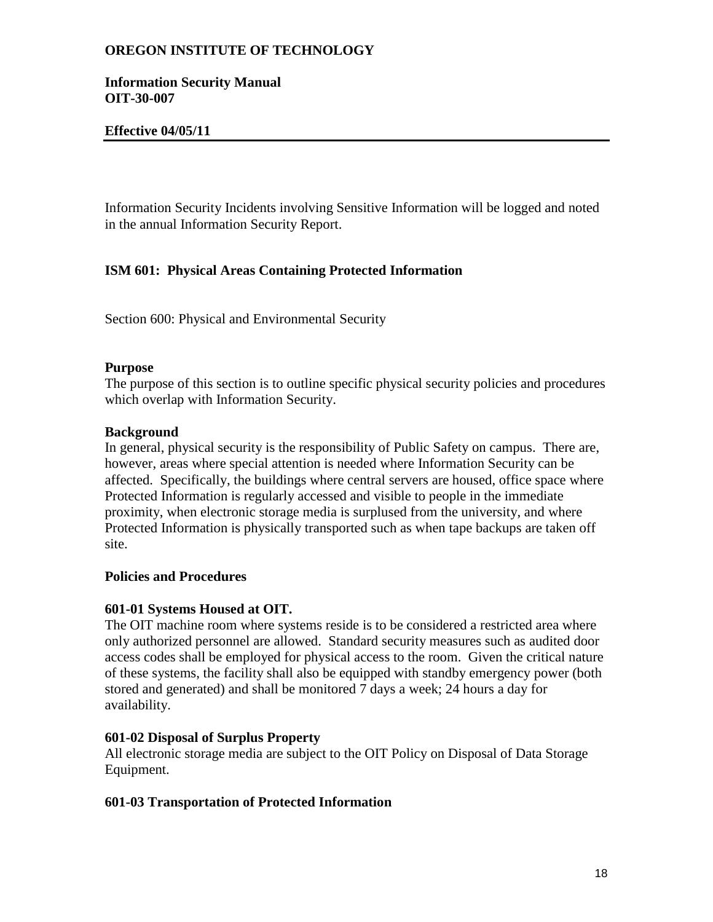## **Information Security Manual OIT-30-007**

# **Effective 04/05/11**

Information Security Incidents involving Sensitive Information will be logged and noted in the annual Information Security Report.

# **ISM 601: Physical Areas Containing Protected Information**

Section 600: Physical and Environmental Security

# **Purpose**

The purpose of this section is to outline specific physical security policies and procedures which overlap with Information Security.

# **Background**

In general, physical security is the responsibility of Public Safety on campus. There are, however, areas where special attention is needed where Information Security can be affected. Specifically, the buildings where central servers are housed, office space where Protected Information is regularly accessed and visible to people in the immediate proximity, when electronic storage media is surplused from the university, and where Protected Information is physically transported such as when tape backups are taken off site.

# **Policies and Procedures**

# **601-01 Systems Housed at OIT.**

The OIT machine room where systems reside is to be considered a restricted area where only authorized personnel are allowed. Standard security measures such as audited door access codes shall be employed for physical access to the room. Given the critical nature of these systems, the facility shall also be equipped with standby emergency power (both stored and generated) and shall be monitored 7 days a week; 24 hours a day for availability.

# **601-02 Disposal of Surplus Property**

All electronic storage media are subject to the OIT Policy on Disposal of Data Storage Equipment.

# **601-03 Transportation of Protected Information**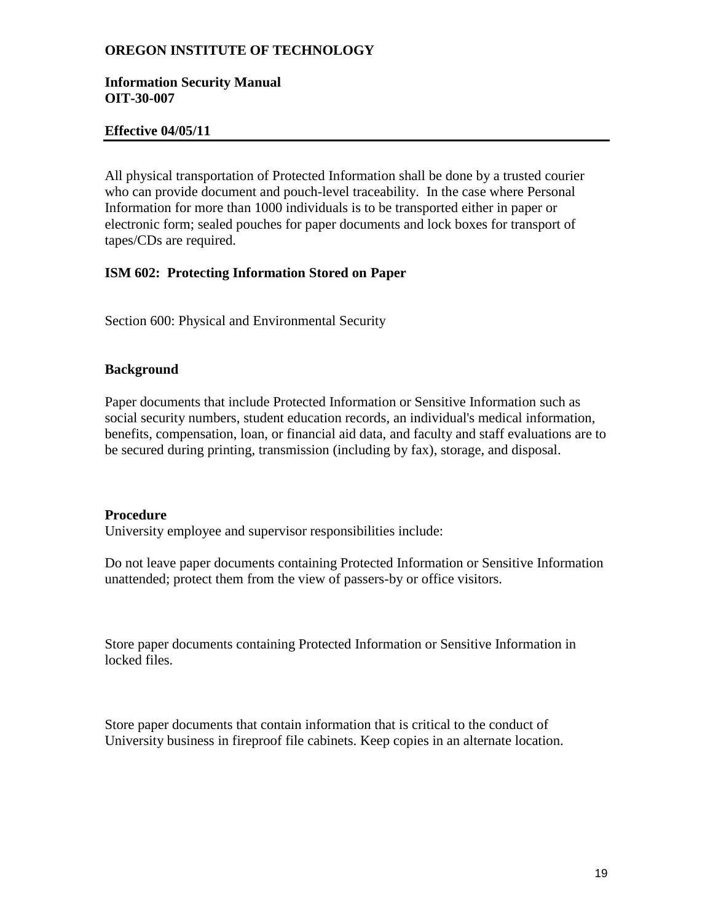### **Information Security Manual OIT-30-007**

## **Effective 04/05/11**

All physical transportation of Protected Information shall be done by a trusted courier who can provide document and pouch-level traceability. In the case where Personal Information for more than 1000 individuals is to be transported either in paper or electronic form; sealed pouches for paper documents and lock boxes for transport of tapes/CDs are required.

### **ISM 602: Protecting Information Stored on Paper**

Section 600: Physical and Environmental Security

#### **Background**

Paper documents that include Protected Information or Sensitive Information such as social security numbers, student education records, an individual's medical information, benefits, compensation, loan, or financial aid data, and faculty and staff evaluations are to be secured during printing, transmission (including by fax), storage, and disposal.

#### **Procedure**

University employee and supervisor responsibilities include:

Do not leave paper documents containing Protected Information or Sensitive Information unattended; protect them from the view of passers-by or office visitors.

Store paper documents containing Protected Information or Sensitive Information in locked files.

Store paper documents that contain information that is critical to the conduct of University business in fireproof file cabinets. Keep copies in an alternate location.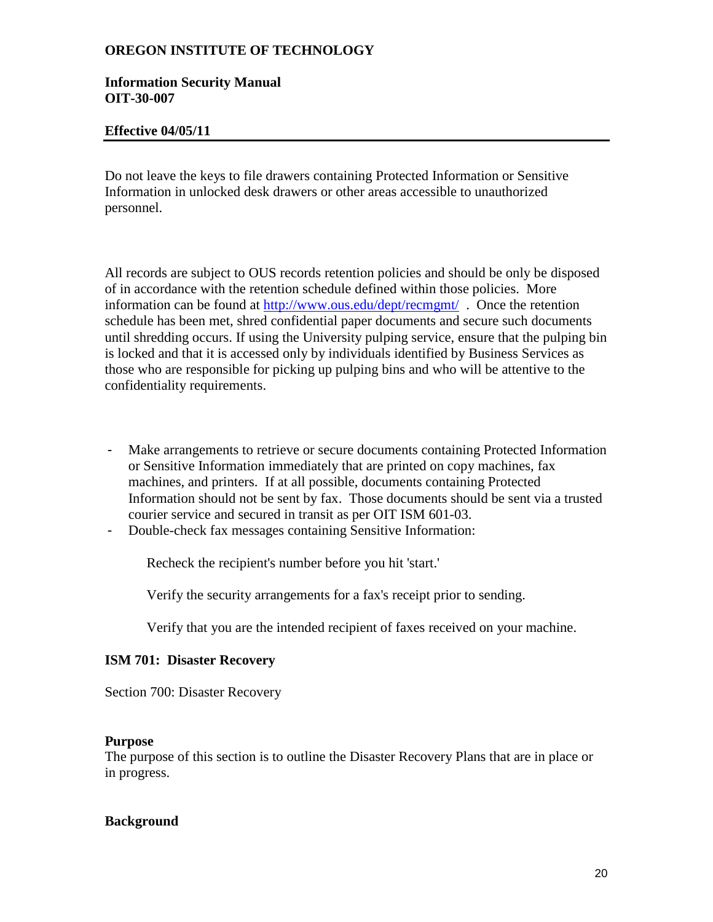### **Information Security Manual OIT-30-007**

## **Effective 04/05/11**

Do not leave the keys to file drawers containing Protected Information or Sensitive Information in unlocked desk drawers or other areas accessible to unauthorized personnel.

All records are subject to OUS records retention policies and should be only be disposed of in accordance with the retention schedule defined within those policies. More information can be found at<http://www.ous.edu/dept/recmgmt/> . Once the retention schedule has been met, shred confidential paper documents and secure such documents until shredding occurs. If using the University pulping service, ensure that the pulping bin is locked and that it is accessed only by individuals identified by Business Services as those who are responsible for picking up pulping bins and who will be attentive to the confidentiality requirements.

- Make arrangements to retrieve or secure documents containing Protected Information or Sensitive Information immediately that are printed on copy machines, fax machines, and printers. If at all possible, documents containing Protected Information should not be sent by fax. Those documents should be sent via a trusted courier service and secured in transit as per OIT ISM 601-03.
- Double-check fax messages containing Sensitive Information:

Recheck the recipient's number before you hit 'start.'

Verify the security arrangements for a fax's receipt prior to sending.

Verify that you are the intended recipient of faxes received on your machine.

# **ISM 701: Disaster Recovery**

Section 700: Disaster Recovery

#### **Purpose**

The purpose of this section is to outline the Disaster Recovery Plans that are in place or in progress.

#### **Background**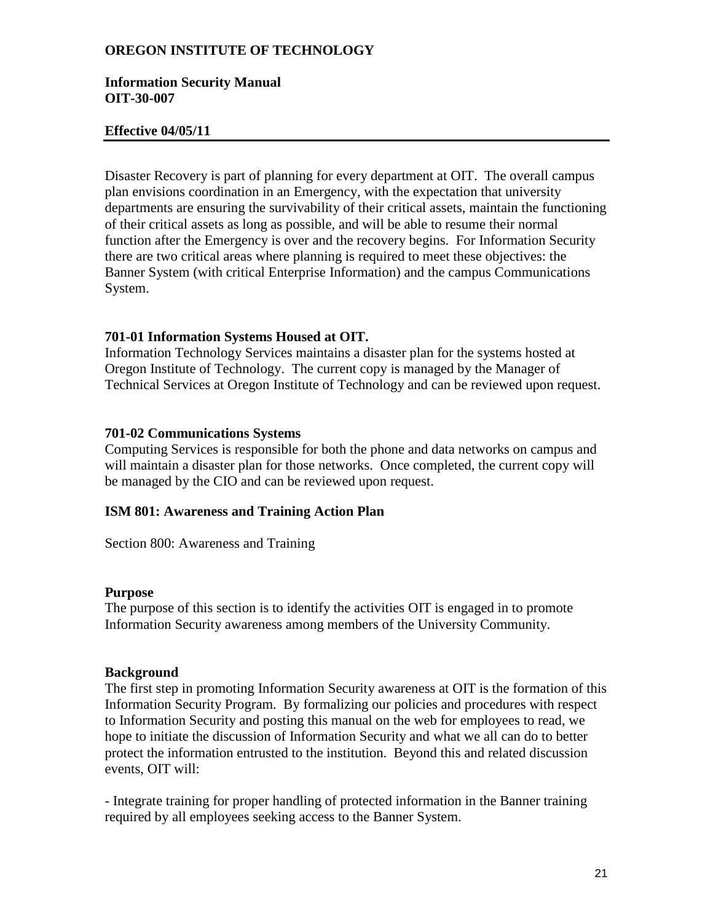### **Information Security Manual OIT-30-007**

### **Effective 04/05/11**

Disaster Recovery is part of planning for every department at OIT. The overall campus plan envisions coordination in an Emergency, with the expectation that university departments are ensuring the survivability of their critical assets, maintain the functioning of their critical assets as long as possible, and will be able to resume their normal function after the Emergency is over and the recovery begins. For Information Security there are two critical areas where planning is required to meet these objectives: the Banner System (with critical Enterprise Information) and the campus Communications System.

# **701-01 Information Systems Housed at OIT.**

Information Technology Services maintains a disaster plan for the systems hosted at Oregon Institute of Technology. The current copy is managed by the Manager of Technical Services at Oregon Institute of Technology and can be reviewed upon request.

### **701-02 Communications Systems**

Computing Services is responsible for both the phone and data networks on campus and will maintain a disaster plan for those networks. Once completed, the current copy will be managed by the CIO and can be reviewed upon request.

# **ISM 801: Awareness and Training Action Plan**

Section 800: Awareness and Training

#### **Purpose**

The purpose of this section is to identify the activities OIT is engaged in to promote Information Security awareness among members of the University Community.

#### **Background**

The first step in promoting Information Security awareness at OIT is the formation of this Information Security Program. By formalizing our policies and procedures with respect to Information Security and posting this manual on the web for employees to read, we hope to initiate the discussion of Information Security and what we all can do to better protect the information entrusted to the institution. Beyond this and related discussion events, OIT will:

- Integrate training for proper handling of protected information in the Banner training required by all employees seeking access to the Banner System.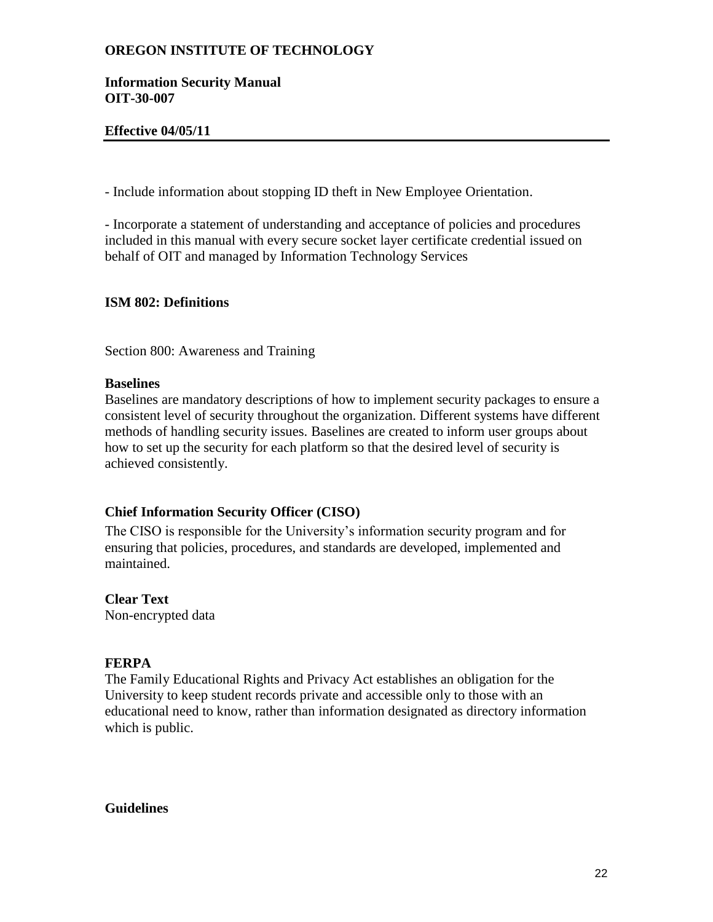## **Information Security Manual OIT-30-007**

# **Effective 04/05/11**

- Include information about stopping ID theft in New Employee Orientation.

- Incorporate a statement of understanding and acceptance of policies and procedures included in this manual with every secure socket layer certificate credential issued on behalf of OIT and managed by Information Technology Services

# **ISM 802: Definitions**

Section 800: Awareness and Training

### **Baselines**

Baselines are mandatory descriptions of how to implement security packages to ensure a consistent level of security throughout the organization. Different systems have different methods of handling security issues. Baselines are created to inform user groups about how to set up the security for each platform so that the desired level of security is achieved consistently.

# **Chief Information Security Officer (CISO)**

The CISO is responsible for the University's information security program and for ensuring that policies, procedures, and standards are developed, implemented and maintained.

# **Clear Text**

Non-encrypted data

# **FERPA**

The Family Educational Rights and Privacy Act establishes an obligation for the University to keep student records private and accessible only to those with an educational need to know, rather than information designated as directory information which is public.

# **Guidelines**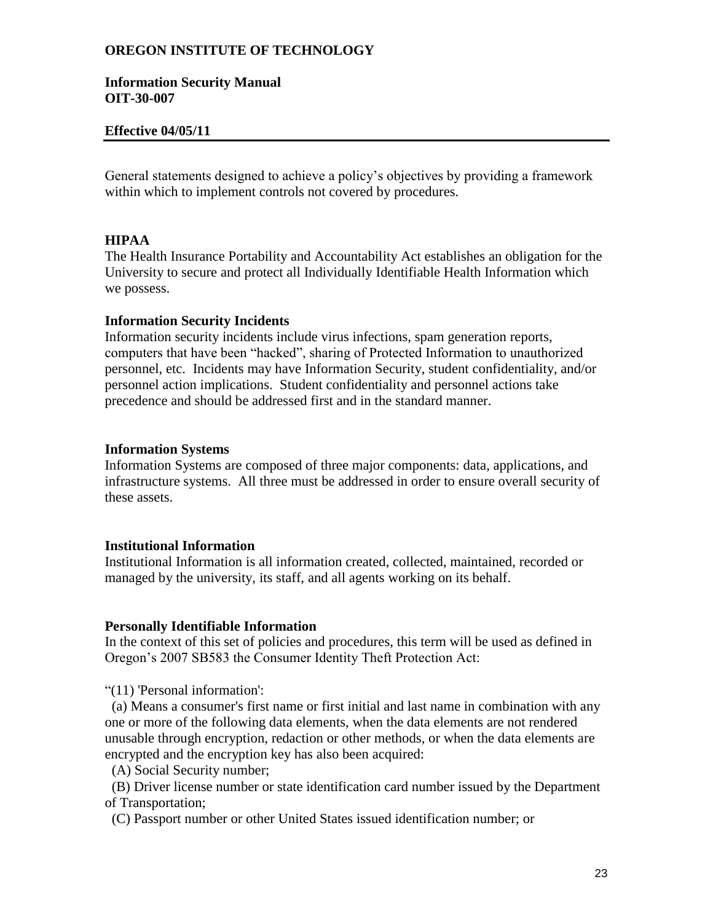### **Information Security Manual OIT-30-007**

### **Effective 04/05/11**

General statements designed to achieve a policy's objectives by providing a framework within which to implement controls not covered by procedures.

### **HIPAA**

The Health Insurance Portability and Accountability Act establishes an obligation for the University to secure and protect all Individually Identifiable Health Information which we possess.

### **Information Security Incidents**

Information security incidents include virus infections, spam generation reports, computers that have been "hacked", sharing of Protected Information to unauthorized personnel, etc. Incidents may have Information Security, student confidentiality, and/or personnel action implications. Student confidentiality and personnel actions take precedence and should be addressed first and in the standard manner.

#### **Information Systems**

Information Systems are composed of three major components: data, applications, and infrastructure systems. All three must be addressed in order to ensure overall security of these assets.

### **Institutional Information**

Institutional Information is all information created, collected, maintained, recorded or managed by the university, its staff, and all agents working on its behalf.

#### **Personally Identifiable Information**

In the context of this set of policies and procedures, this term will be used as defined in Oregon's 2007 SB583 the Consumer Identity Theft Protection Act:

"(11) 'Personal information':

 (a) Means a consumer's first name or first initial and last name in combination with any one or more of the following data elements, when the data elements are not rendered unusable through encryption, redaction or other methods, or when the data elements are encrypted and the encryption key has also been acquired:

(A) Social Security number;

 (B) Driver license number or state identification card number issued by the Department of Transportation;

(C) Passport number or other United States issued identification number; or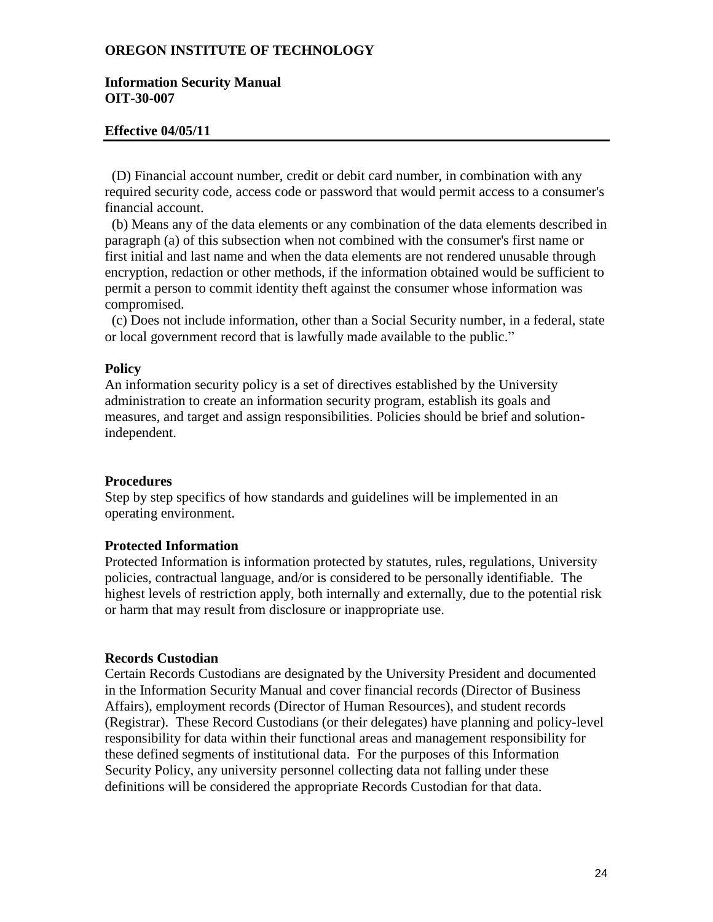### **Information Security Manual OIT-30-007**

### **Effective 04/05/11**

 (D) Financial account number, credit or debit card number, in combination with any required security code, access code or password that would permit access to a consumer's financial account.

 (b) Means any of the data elements or any combination of the data elements described in paragraph (a) of this subsection when not combined with the consumer's first name or first initial and last name and when the data elements are not rendered unusable through encryption, redaction or other methods, if the information obtained would be sufficient to permit a person to commit identity theft against the consumer whose information was compromised.

 (c) Does not include information, other than a Social Security number, in a federal, state or local government record that is lawfully made available to the public."

### **Policy**

An information security policy is a set of directives established by the University administration to create an information security program, establish its goals and measures, and target and assign responsibilities. Policies should be brief and solutionindependent.

#### **Procedures**

Step by step specifics of how standards and guidelines will be implemented in an operating environment.

### **Protected Information**

Protected Information is information protected by statutes, rules, regulations, University policies, contractual language, and/or is considered to be personally identifiable. The highest levels of restriction apply, both internally and externally, due to the potential risk or harm that may result from disclosure or inappropriate use.

#### **Records Custodian**

Certain Records Custodians are designated by the University President and documented in the Information Security Manual and cover financial records (Director of Business Affairs), employment records (Director of Human Resources), and student records (Registrar). These Record Custodians (or their delegates) have planning and policy-level responsibility for data within their functional areas and management responsibility for these defined segments of institutional data. For the purposes of this Information Security Policy, any university personnel collecting data not falling under these definitions will be considered the appropriate Records Custodian for that data.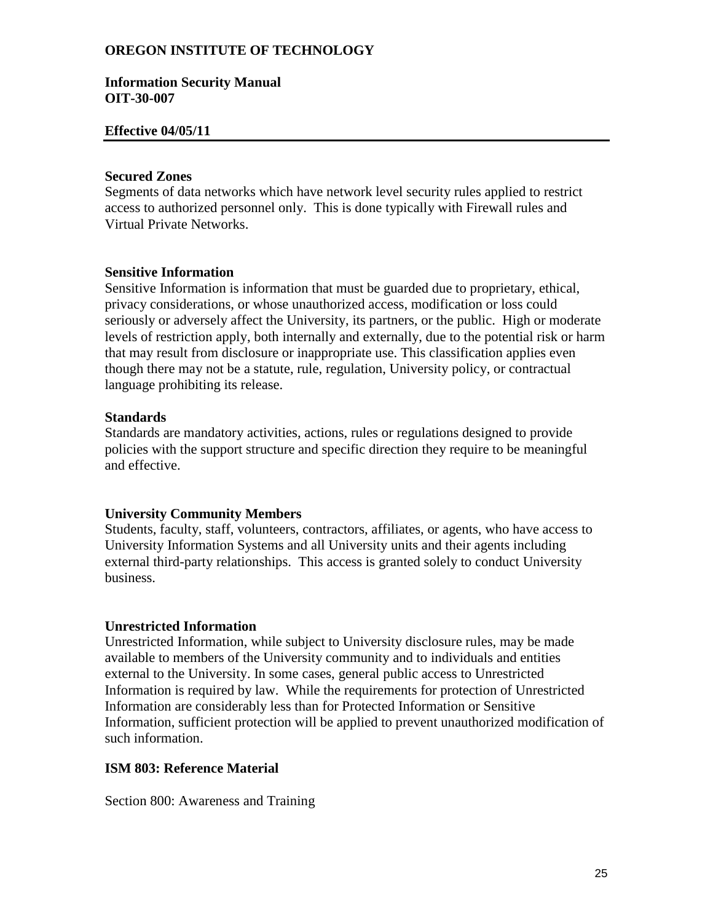### **Information Security Manual OIT-30-007**

### **Effective 04/05/11**

### **Secured Zones**

Segments of data networks which have network level security rules applied to restrict access to authorized personnel only. This is done typically with Firewall rules and Virtual Private Networks.

### **Sensitive Information**

Sensitive Information is information that must be guarded due to proprietary, ethical, privacy considerations, or whose unauthorized access, modification or loss could seriously or adversely affect the University, its partners, or the public. High or moderate levels of restriction apply, both internally and externally, due to the potential risk or harm that may result from disclosure or inappropriate use. This classification applies even though there may not be a statute, rule, regulation, University policy, or contractual language prohibiting its release.

### **Standards**

Standards are mandatory activities, actions, rules or regulations designed to provide policies with the support structure and specific direction they require to be meaningful and effective.

# **University Community Members**

Students, faculty, staff, volunteers, contractors, affiliates, or agents, who have access to University Information Systems and all University units and their agents including external third-party relationships. This access is granted solely to conduct University business.

# **Unrestricted Information**

Unrestricted Information, while subject to University disclosure rules, may be made available to members of the University community and to individuals and entities external to the University. In some cases, general public access to Unrestricted Information is required by law. While the requirements for protection of Unrestricted Information are considerably less than for Protected Information or Sensitive Information, sufficient protection will be applied to prevent unauthorized modification of such information.

# **ISM 803: Reference Material**

Section 800: Awareness and Training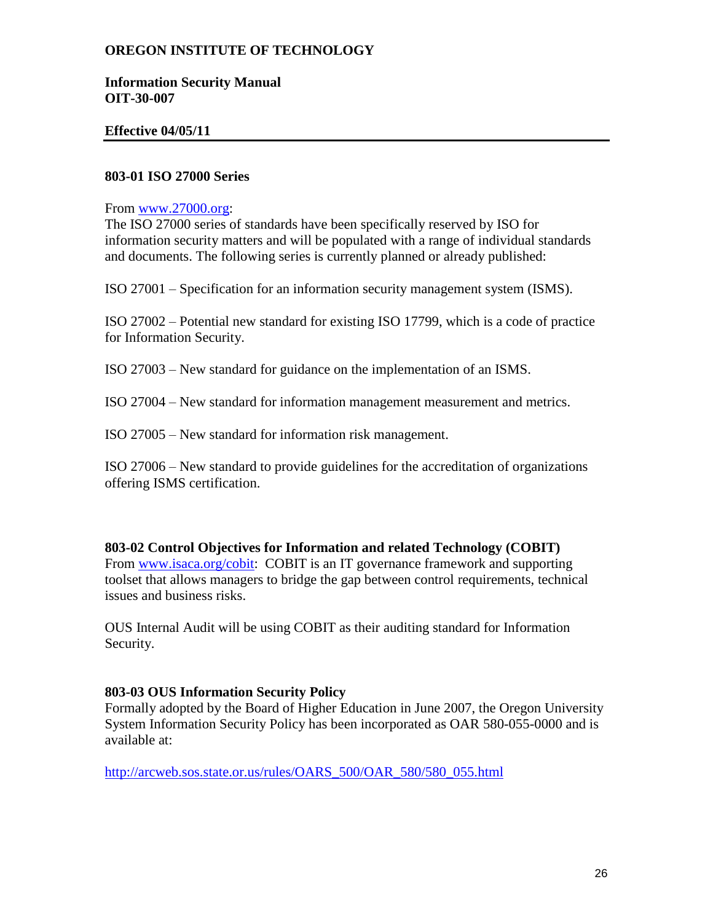## **Information Security Manual OIT-30-007**

# **Effective 04/05/11**

# **803-01 ISO 27000 Series**

## From [www.27000.org:](http://www.27000.org/)

The ISO 27000 series of standards have been specifically reserved by ISO for information security matters and will be populated with a range of individual standards and documents. The following series is currently planned or already published:

ISO 27001 – Specification for an information security management system (ISMS).

ISO 27002 – Potential new standard for existing ISO 17799, which is a code of practice for Information Security.

ISO 27003 – New standard for guidance on the implementation of an ISMS.

ISO 27004 – New standard for information management measurement and metrics.

ISO 27005 – New standard for information risk management.

ISO 27006 – New standard to provide guidelines for the accreditation of organizations offering ISMS certification.

**803-02 Control Objectives for Information and related Technology (COBIT)** From [www.isaca.org/cobit:](http://www.isaca.org/cobit) COBIT is an IT governance framework and supporting toolset that allows managers to bridge the gap between control requirements, technical issues and business risks.

OUS Internal Audit will be using COBIT as their auditing standard for Information Security.

# **803-03 OUS Information Security Policy**

Formally adopted by the Board of Higher Education in June 2007, the Oregon University System Information Security Policy has been incorporated as OAR 580-055-0000 and is available at:

[http://arcweb.sos.state.or.us/rules/OARS\\_500/OAR\\_580/580\\_055.html](http://arcweb.sos.state.or.us/rules/OARS_500/OAR_580/580_055.html)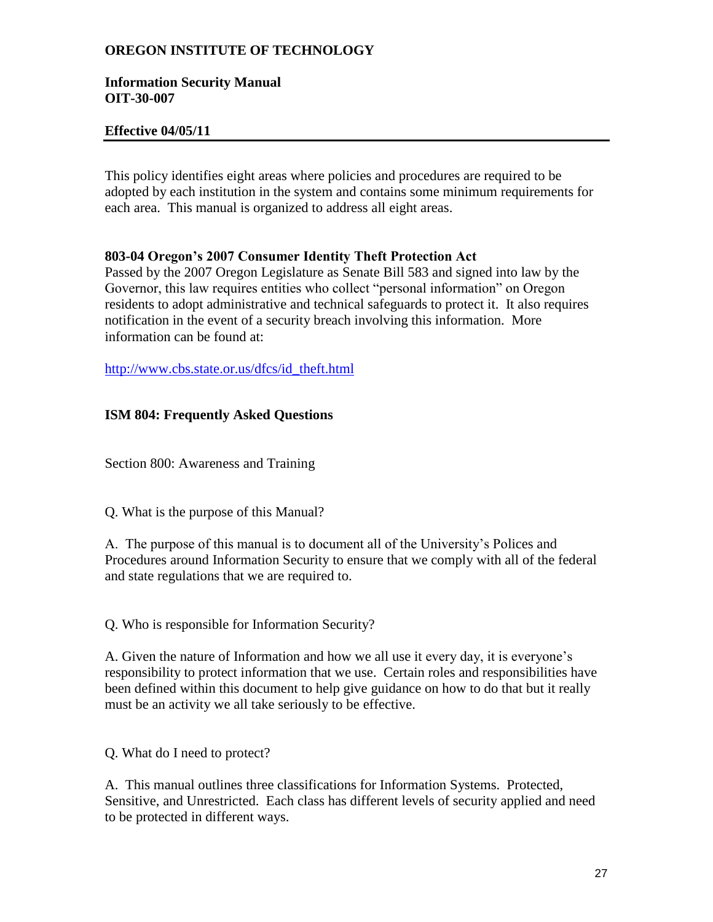## **Information Security Manual OIT-30-007**

# **Effective 04/05/11**

This policy identifies eight areas where policies and procedures are required to be adopted by each institution in the system and contains some minimum requirements for each area. This manual is organized to address all eight areas.

# **803-04 Oregon's 2007 Consumer Identity Theft Protection Act**

Passed by the 2007 Oregon Legislature as Senate Bill 583 and signed into law by the Governor, this law requires entities who collect "personal information" on Oregon residents to adopt administrative and technical safeguards to protect it. It also requires notification in the event of a security breach involving this information. More information can be found at:

[http://www.cbs.state.or.us/dfcs/id\\_theft.html](http://www.cbs.state.or.us/dfcs/id_theft.html)

# **ISM 804: Frequently Asked Questions**

Section 800: Awareness and Training

Q. What is the purpose of this Manual?

A. The purpose of this manual is to document all of the University's Polices and Procedures around Information Security to ensure that we comply with all of the federal and state regulations that we are required to.

Q. Who is responsible for Information Security?

A. Given the nature of Information and how we all use it every day, it is everyone's responsibility to protect information that we use. Certain roles and responsibilities have been defined within this document to help give guidance on how to do that but it really must be an activity we all take seriously to be effective.

Q. What do I need to protect?

A. This manual outlines three classifications for Information Systems. Protected, Sensitive, and Unrestricted. Each class has different levels of security applied and need to be protected in different ways.